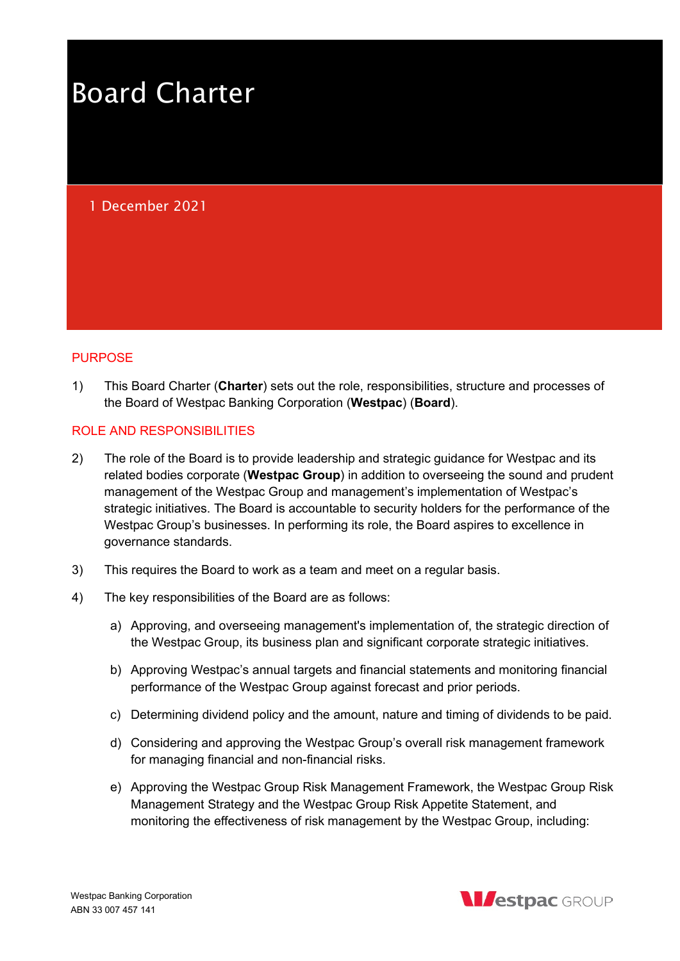# Board Charter

# 1 December 2021

#### PURPOSE

1) This Board Charter (Charter) sets out the role, responsibilities, structure and processes of the Board of Westpac Banking Corporation (Westpac) (Board).

#### ROLE AND RESPONSIBILITIES

- 2) The role of the Board is to provide leadership and strategic guidance for Westpac and its related bodies corporate (Westpac Group) in addition to overseeing the sound and prudent management of the Westpac Group and management's implementation of Westpac's strategic initiatives. The Board is accountable to security holders for the performance of the Westpac Group's businesses. In performing its role, the Board aspires to excellence in governance standards.
- 3) This requires the Board to work as a team and meet on a regular basis.
- 4) The key responsibilities of the Board are as follows:
	- a) Approving, and overseeing management's implementation of, the strategic direction of the Westpac Group, its business plan and significant corporate strategic initiatives.
	- b) Approving Westpac's annual targets and financial statements and monitoring financial performance of the Westpac Group against forecast and prior periods.
	- c) Determining dividend policy and the amount, nature and timing of dividends to be paid.
	- d) Considering and approving the Westpac Group's overall risk management framework for managing financial and non-financial risks.
	- e) Approving the Westpac Group Risk Management Framework, the Westpac Group Risk Management Strategy and the Westpac Group Risk Appetite Statement, and monitoring the effectiveness of risk management by the Westpac Group, including:

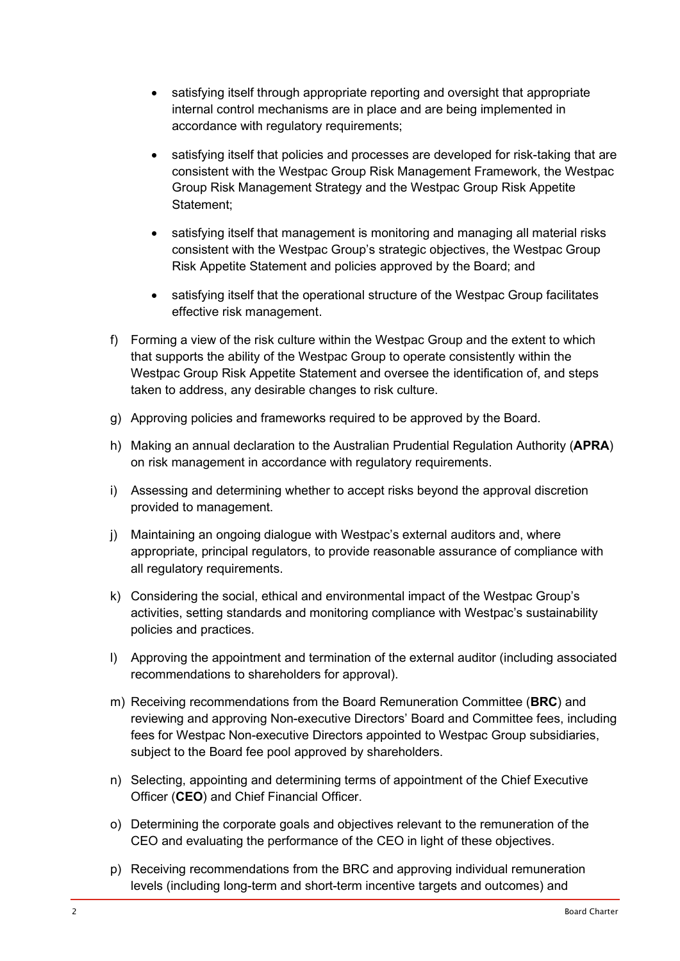- satisfying itself through appropriate reporting and oversight that appropriate internal control mechanisms are in place and are being implemented in accordance with regulatory requirements;
- satisfying itself that policies and processes are developed for risk-taking that are consistent with the Westpac Group Risk Management Framework, the Westpac Group Risk Management Strategy and the Westpac Group Risk Appetite Statement;
- satisfying itself that management is monitoring and managing all material risks consistent with the Westpac Group's strategic objectives, the Westpac Group Risk Appetite Statement and policies approved by the Board; and
- satisfying itself that the operational structure of the Westpac Group facilitates effective risk management.
- f) Forming a view of the risk culture within the Westpac Group and the extent to which that supports the ability of the Westpac Group to operate consistently within the Westpac Group Risk Appetite Statement and oversee the identification of, and steps taken to address, any desirable changes to risk culture.
- g) Approving policies and frameworks required to be approved by the Board.
- h) Making an annual declaration to the Australian Prudential Regulation Authority (APRA) on risk management in accordance with regulatory requirements.
- i) Assessing and determining whether to accept risks beyond the approval discretion provided to management.
- j) Maintaining an ongoing dialogue with Westpac's external auditors and, where appropriate, principal regulators, to provide reasonable assurance of compliance with all regulatory requirements.
- k) Considering the social, ethical and environmental impact of the Westpac Group's activities, setting standards and monitoring compliance with Westpac's sustainability policies and practices.
- l) Approving the appointment and termination of the external auditor (including associated recommendations to shareholders for approval).
- m) Receiving recommendations from the Board Remuneration Committee (BRC) and reviewing and approving Non-executive Directors' Board and Committee fees, including fees for Westpac Non-executive Directors appointed to Westpac Group subsidiaries, subject to the Board fee pool approved by shareholders.
- n) Selecting, appointing and determining terms of appointment of the Chief Executive Officer (CEO) and Chief Financial Officer.
- o) Determining the corporate goals and objectives relevant to the remuneration of the CEO and evaluating the performance of the CEO in light of these objectives.
- p) Receiving recommendations from the BRC and approving individual remuneration levels (including long-term and short-term incentive targets and outcomes) and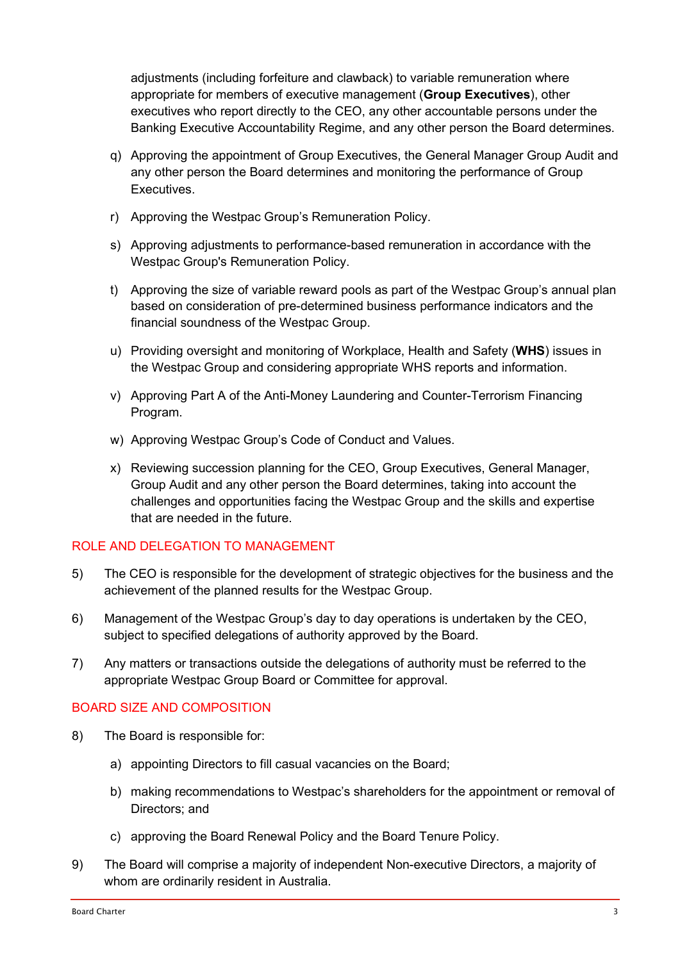adjustments (including forfeiture and clawback) to variable remuneration where appropriate for members of executive management (Group Executives), other executives who report directly to the CEO, any other accountable persons under the Banking Executive Accountability Regime, and any other person the Board determines.

- q) Approving the appointment of Group Executives, the General Manager Group Audit and any other person the Board determines and monitoring the performance of Group Executives.
- r) Approving the Westpac Group's Remuneration Policy.
- s) Approving adjustments to performance-based remuneration in accordance with the Westpac Group's Remuneration Policy.
- t) Approving the size of variable reward pools as part of the Westpac Group's annual plan based on consideration of pre-determined business performance indicators and the financial soundness of the Westpac Group.
- u) Providing oversight and monitoring of Workplace, Health and Safety (WHS) issues in the Westpac Group and considering appropriate WHS reports and information.
- v) Approving Part A of the Anti-Money Laundering and Counter-Terrorism Financing Program.
- w) Approving Westpac Group's Code of Conduct and Values.
- x) Reviewing succession planning for the CEO, Group Executives, General Manager, Group Audit and any other person the Board determines, taking into account the challenges and opportunities facing the Westpac Group and the skills and expertise that are needed in the future.

## ROLE AND DELEGATION TO MANAGEMENT

- 5) The CEO is responsible for the development of strategic objectives for the business and the achievement of the planned results for the Westpac Group.
- 6) Management of the Westpac Group's day to day operations is undertaken by the CEO, subject to specified delegations of authority approved by the Board.
- 7) Any matters or transactions outside the delegations of authority must be referred to the appropriate Westpac Group Board or Committee for approval.

## BOARD SIZE AND COMPOSITION

- 8) The Board is responsible for:
	- a) appointing Directors to fill casual vacancies on the Board;
	- b) making recommendations to Westpac's shareholders for the appointment or removal of Directors; and
	- c) approving the Board Renewal Policy and the Board Tenure Policy.
- 9) The Board will comprise a majority of independent Non-executive Directors, a majority of whom are ordinarily resident in Australia.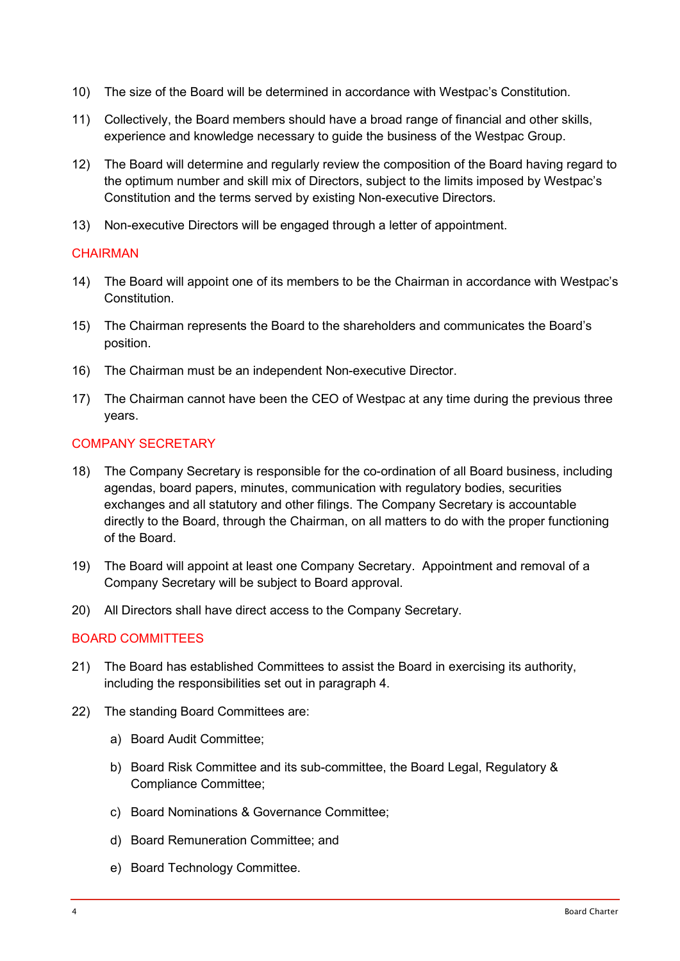- 10) The size of the Board will be determined in accordance with Westpac's Constitution.
- 11) Collectively, the Board members should have a broad range of financial and other skills, experience and knowledge necessary to guide the business of the Westpac Group.
- 12) The Board will determine and regularly review the composition of the Board having regard to the optimum number and skill mix of Directors, subject to the limits imposed by Westpac's Constitution and the terms served by existing Non-executive Directors.
- 13) Non-executive Directors will be engaged through a letter of appointment.

#### **CHAIRMAN**

- 14) The Board will appoint one of its members to be the Chairman in accordance with Westpac's Constitution.
- 15) The Chairman represents the Board to the shareholders and communicates the Board's position.
- 16) The Chairman must be an independent Non-executive Director.
- 17) The Chairman cannot have been the CEO of Westpac at any time during the previous three years.

#### COMPANY SECRETARY

- 18) The Company Secretary is responsible for the co-ordination of all Board business, including agendas, board papers, minutes, communication with regulatory bodies, securities exchanges and all statutory and other filings. The Company Secretary is accountable directly to the Board, through the Chairman, on all matters to do with the proper functioning of the Board.
- 19) The Board will appoint at least one Company Secretary. Appointment and removal of a Company Secretary will be subject to Board approval.
- 20) All Directors shall have direct access to the Company Secretary.

#### BOARD COMMITTEES

- 21) The Board has established Committees to assist the Board in exercising its authority, including the responsibilities set out in paragraph 4.
- 22) The standing Board Committees are:
	- a) Board Audit Committee;
	- b) Board Risk Committee and its sub-committee, the Board Legal, Regulatory & Compliance Committee;
	- c) Board Nominations & Governance Committee;
	- d) Board Remuneration Committee; and
	- e) Board Technology Committee.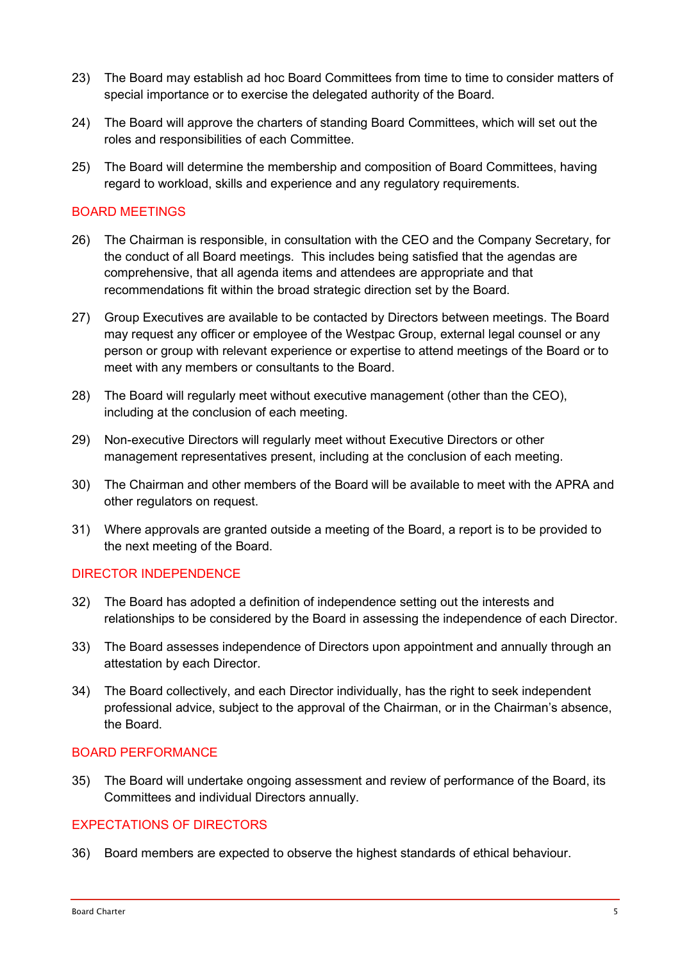- 23) The Board may establish ad hoc Board Committees from time to time to consider matters of special importance or to exercise the delegated authority of the Board.
- 24) The Board will approve the charters of standing Board Committees, which will set out the roles and responsibilities of each Committee.
- 25) The Board will determine the membership and composition of Board Committees, having regard to workload, skills and experience and any regulatory requirements.

#### BOARD MEETINGS

- 26) The Chairman is responsible, in consultation with the CEO and the Company Secretary, for the conduct of all Board meetings. This includes being satisfied that the agendas are comprehensive, that all agenda items and attendees are appropriate and that recommendations fit within the broad strategic direction set by the Board.
- 27) Group Executives are available to be contacted by Directors between meetings. The Board may request any officer or employee of the Westpac Group, external legal counsel or any person or group with relevant experience or expertise to attend meetings of the Board or to meet with any members or consultants to the Board.
- 28) The Board will regularly meet without executive management (other than the CEO), including at the conclusion of each meeting.
- 29) Non-executive Directors will regularly meet without Executive Directors or other management representatives present, including at the conclusion of each meeting.
- 30) The Chairman and other members of the Board will be available to meet with the APRA and other regulators on request.
- 31) Where approvals are granted outside a meeting of the Board, a report is to be provided to the next meeting of the Board.

#### DIRECTOR INDEPENDENCE

- 32) The Board has adopted a definition of independence setting out the interests and relationships to be considered by the Board in assessing the independence of each Director.
- 33) The Board assesses independence of Directors upon appointment and annually through an attestation by each Director.
- 34) The Board collectively, and each Director individually, has the right to seek independent professional advice, subject to the approval of the Chairman, or in the Chairman's absence, the Board.

#### BOARD PERFORMANCE

35) The Board will undertake ongoing assessment and review of performance of the Board, its Committees and individual Directors annually.

#### EXPECTATIONS OF DIRECTORS

36) Board members are expected to observe the highest standards of ethical behaviour.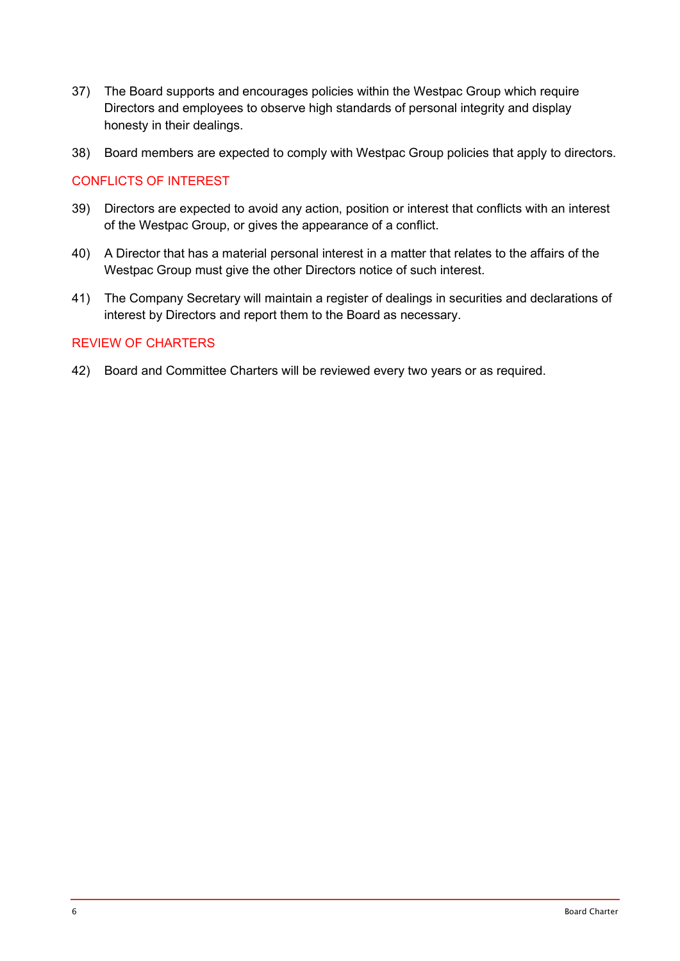- 37) The Board supports and encourages policies within the Westpac Group which require Directors and employees to observe high standards of personal integrity and display honesty in their dealings.
- 38) Board members are expected to comply with Westpac Group policies that apply to directors.

#### CONFLICTS OF INTEREST

- 39) Directors are expected to avoid any action, position or interest that conflicts with an interest of the Westpac Group, or gives the appearance of a conflict.
- 40) A Director that has a material personal interest in a matter that relates to the affairs of the Westpac Group must give the other Directors notice of such interest.
- 41) The Company Secretary will maintain a register of dealings in securities and declarations of interest by Directors and report them to the Board as necessary.

#### REVIEW OF CHARTERS

42) Board and Committee Charters will be reviewed every two years or as required.